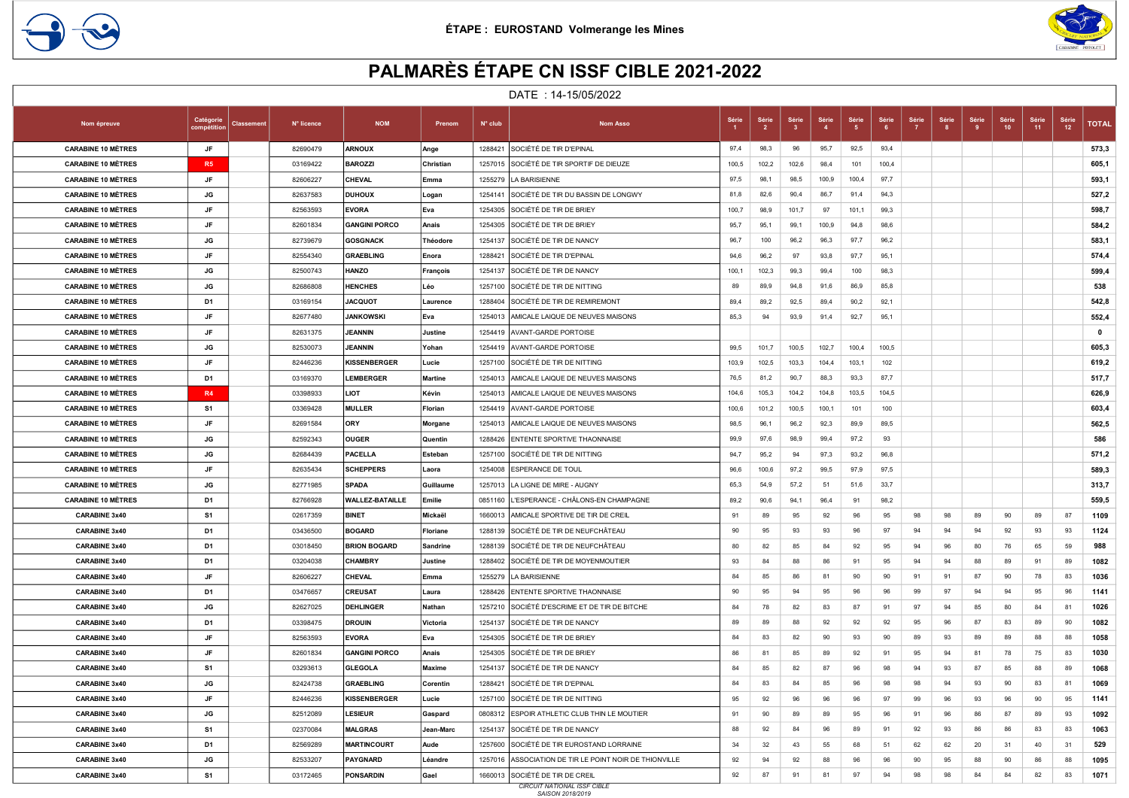



## PALMARÈS ÉTAPE CN ISSF CIBLE 2021-2022

|                           |                         |                   |            |                        |               |                  | DATE: 14-15/05/2022                                    |       |                         |                                  |        |       |              |              |             |       |             |             |             |              |
|---------------------------|-------------------------|-------------------|------------|------------------------|---------------|------------------|--------------------------------------------------------|-------|-------------------------|----------------------------------|--------|-------|--------------|--------------|-------------|-------|-------------|-------------|-------------|--------------|
| Nom épreuve               | Catégorie<br>compétitic | <b>Classement</b> | N° licence | <b>NOM</b>             | Prenom        | $N^{\circ}$ club | <b>Nom Asso</b>                                        | Série | Série<br>$\overline{2}$ | Série<br>$\overline{\mathbf{3}}$ | Série  | Série | Série<br>- 6 | Série<br>- 7 | Série<br>-8 | Série | Série<br>10 | Série<br>11 | Série<br>12 | <b>TOTAL</b> |
| <b>CARABINE 10 MÈTRES</b> | JF                      |                   | 82690479   | <b>ARNOUX</b>          | Ange          |                  | 1288421 SOCIÉTÉ DE TIR D'EPINAL                        | 97,4  | 98,3                    | 96                               | 95,7   | 92,5  | 93,4         |              |             |       |             |             |             | 573,3        |
| <b>CARABINE 10 MÈTRES</b> | R <sub>5</sub>          |                   | 03169422   | <b>BAROZZI</b>         | Christian     |                  | 1257015 SOCIÉTÉ DE TIR SPORTIF DE DIEUZE               | 100,5 | 102,2                   | 102,6                            | 98,4   | 101   | 100,4        |              |             |       |             |             |             | 605,1        |
| <b>CARABINE 10 MÉTRES</b> | JF                      |                   | 82606227   | <b>CHEVAL</b>          | Emma          | 1255279          | LA BARISIENNE                                          | 97,5  | 98,1                    | 98,5                             | 100,9  | 100,4 | 97,7         |              |             |       |             |             |             | 593,1        |
| <b>CARABINE 10 MÈTRES</b> | JG                      |                   | 82637583   | <b>DUHOUX</b>          | Logan         | 1254141          | SOCIÉTÉ DE TIR DU BASSIN DE LONGWY                     | 81,8  | 82,6                    | 90,4                             | 86,7   | 91,4  | 94,3         |              |             |       |             |             |             | 527,2        |
| <b>CARABINE 10 MÈTRES</b> | JF                      |                   | 82563593   | <b>EVORA</b>           | Eva           | 1254305          | SOCIÉTÉ DE TIR DE BRIEY                                | 100,7 | 98,9                    | 101,7                            | 97     | 101,1 | 99,3         |              |             |       |             |             |             | 598,7        |
| <b>CARABINE 10 MÉTRES</b> | JF                      |                   | 82601834   | <b>GANGINI PORCO</b>   | Anais         | 1254305          | SOCIÉTÉ DE TIR DE BRIEY                                | 95,7  | 95,1                    | 99,1                             | 100,9  | 94,8  | 98,6         |              |             |       |             |             |             | 584,2        |
| <b>CARABINE 10 MÈTRES</b> | JG                      |                   | 82739679   | <b>GOSGNACK</b>        | Théodore      | 1254137          | SOCIÉTÉ DE TIR DE NANCY                                | 96,7  | 100                     | 96,2                             | 96,3   | 97,7  | 96,2         |              |             |       |             |             |             | 583,1        |
| <b>CARABINE 10 MÉTRES</b> | JF                      |                   | 82554340   | <b>GRAEBLING</b>       | Enora         | 1288421          | SOCIÉTÉ DE TIR D'EPINAL                                | 94,6  | 96,2                    | 97                               | 93,8   | 97,7  | 95,1         |              |             |       |             |             |             | 574,4        |
| <b>CARABINE 10 MÉTRES</b> | JG                      |                   | 82500743   | <b>HANZO</b>           | François      |                  | 1254137 SOCIÉTÉ DE TIR DE NANCY                        | 100,1 | 102,3                   | 99,3                             | 99,4   | 100   | 98,3         |              |             |       |             |             |             | 599,4        |
| <b>CARABINE 10 MÈTRES</b> | JG                      |                   | 82686808   | <b>HENCHES</b>         | Léo           |                  | 1257100 SOCIÉTÉ DE TIR DE NITTING                      | 89    | 89,9                    | 94,8                             | 91,6   | 86,9  | 85,8         |              |             |       |             |             |             | 538          |
| <b>CARABINE 10 MÈTRES</b> | D <sub>1</sub>          |                   | 03169154   | <b>JACQUOT</b>         | Laurence      |                  | 1288404 SOCIÉTÉ DE TIR DE REMIREMONT                   | 89,4  | 89,2                    | 92,5                             | 89,4   | 90,2  | 92,1         |              |             |       |             |             |             | 542,8        |
| <b>CARABINE 10 MÈTRES</b> | JF                      |                   | 82677480   | <b>JANKOWSKI</b>       | Eva           |                  | 1254013 AMICALE LAIQUE DE NEUVES MAISONS               | 85,3  | 94                      | 93,9                             | 91,4   | 92,7  | 95,1         |              |             |       |             |             |             | 552,4        |
| <b>CARABINE 10 MÉTRES</b> | JF                      |                   | 82631375   | JEANNIN                | Justine       |                  | 1254419 AVANT-GARDE PORTOISE                           |       |                         |                                  |        |       |              |              |             |       |             |             |             | $\mathbf 0$  |
| <b>CARABINE 10 MÉTRES</b> | JG                      |                   | 82530073   | JEANNIN                | Yohan         |                  | 1254419 AVANT-GARDE PORTOISE                           | 99,5  | 101,7                   | 100,5                            | 102,7  | 100,4 | 100,5        |              |             |       |             |             |             | 605,3        |
| <b>CARABINE 10 MÈTRES</b> | JF                      |                   | 82446236   | <b>KISSENBERGER</b>    | Lucie         | 1257100          | SOCIÉTÉ DE TIR DE NITTING                              | 103,9 | 102,5                   | 103,3                            | 104,4  | 103,1 | 102          |              |             |       |             |             |             | 619,2        |
| <b>CARABINE 10 MÉTRES</b> | D1                      |                   | 03169370   | <b>LEMBERGER</b>       | Martine       | 1254013          | AMICALE LAIQUE DE NEUVES MAISONS                       | 76,5  | 81,2                    | 90,7                             | 88,3   | 93,3  | 87,7         |              |             |       |             |             |             | 517,7        |
| <b>CARABINE 10 MÈTRES</b> | <b>R4</b>               |                   | 03398933   | <b>LIOT</b>            | Kévin         | 1254013          | AMICALE LAIQUE DE NEUVES MAISONS                       | 104,6 | 105,3                   | 104,2                            | 104,8  | 103,5 | 104,5        |              |             |       |             |             |             | 626,9        |
| <b>CARABINE 10 MÉTRES</b> | S1                      |                   | 03369428   | <b>MULLER</b>          | Florian       |                  | 1254419 AVANT-GARDE PORTOISE                           | 100,6 | 101,2                   | 100,5                            | 100, 1 | 101   | 100          |              |             |       |             |             |             | 603,4        |
| <b>CARABINE 10 MÈTRES</b> | <b>JF</b>               |                   | 82691584   | ORY                    | Morgane       |                  | 1254013 AMICALE LAIQUE DE NEUVES MAISONS               | 98,5  | 96,1                    | 96,2                             | 92,3   | 89,9  | 89,5         |              |             |       |             |             |             | 562,5        |
| <b>CARABINE 10 MÈTRES</b> | JG                      |                   | 82592343   | <b>OUGER</b>           | Quentin       |                  | 1288426 ENTENTE SPORTIVE THAONNAISE                    | 99,9  | 97,6                    | 98,9                             | 99,4   | 97,2  | 93           |              |             |       |             |             |             | 586          |
| <b>CARABINE 10 MÉTRES</b> | JG                      |                   | 82684439   | <b>PACELLA</b>         | Esteban       |                  | 1257100 SOCIÉTÉ DE TIR DE NITTING                      | 94,7  | 95,2                    | 94                               | 97,3   | 93,2  | 96,8         |              |             |       |             |             |             | 571,2        |
| <b>CARABINE 10 MÈTRES</b> | JF                      |                   | 82635434   | <b>SCHEPPERS</b>       | Laora         |                  | 1254008 ESPERANCE DE TOUL                              | 96,6  | 100,6                   | 97,2                             | 99,5   | 97,9  | 97,5         |              |             |       |             |             |             | 589,3        |
| <b>CARABINE 10 MÈTRES</b> | JG                      |                   | 82771985   | <b>SPADA</b>           | Guillaume     | 1257013          | LA LIGNE DE MIRE - AUGNY                               | 65,3  | 54,9                    | 57,2                             | 51     | 51,6  | 33,7         |              |             |       |             |             |             | 313,7        |
| <b>CARABINE 10 MÈTRES</b> | D1                      |                   | 82766928   | <b>WALLEZ-BATAILLE</b> | Emilie        |                  | 0851160 L'ESPERANCE - CHÂLONS-EN CHAMPAGNE             | 89,2  | 90,6                    | 94,1                             | 96,4   | 91    | 98,2         |              |             |       |             |             |             | 559,5        |
| <b>CARABINE 3x40</b>      | S1                      |                   | 02617359   | <b>BINET</b>           | Mickaël       | 1660013          | AMICALE SPORTIVE DE TIR DE CREIL                       | 91    | 89                      | 95                               | 92     | 96    | 95           | 98           | 98          | 89    | 90          | 89          | 87          | 1109         |
| <b>CARABINE 3x40</b>      | D1                      |                   | 03436500   | <b>BOGARD</b>          | Floriane      | 1288139          | SOCIÉTÉ DE TIR DE NEUFCHÂTEAU                          | 90    | 95                      | 93                               | 93     | 96    | 97           | 94           | 94          | 94    | 92          | 93          | 93          | 1124         |
| <b>CARABINE 3x40</b>      | D1                      |                   | 03018450   | <b>BRION BOGARD</b>    | Sandrine      |                  | 1288139 SOCIÉTÉ DE TIR DE NEUFCHÂTEAU                  | 80    | 82                      | 85                               | 84     | 92    | 95           | 94           | 96          | 80    | 76          | 65          | 59          | 988          |
| <b>CARABINE 3x40</b>      | D <sub>1</sub>          |                   | 03204038   | <b>CHAMBRY</b>         | Justine       |                  | 1288402 SOCIÉTÉ DE TIR DE MOYENMOUTIER                 | 93    | 84                      | 88                               | 86     | 91    | 95           | 94           | 94          | 88    | 89          | 91          | 89          | 1082         |
| <b>CARABINE 3x40</b>      | JF                      |                   | 82606227   | CHEVAL                 | Emma          |                  | 1255279 LA BARISIENNE                                  | 84    | 85                      | 86                               | 81     | 90    | 90           | 91           | 91          | 87    | 90          | 78          | 83          | 1036         |
| <b>CARABINE 3x40</b>      | D <sub>1</sub>          |                   | 03476657   | <b>CREUSAT</b>         | Laura         |                  | 1288426 ENTENTE SPORTIVE THAONNAISE                    | 90    | 95                      | 94                               | 95     | 96    | 96           | 99           | 97          | 94    | 94          | 95          | 96          | 1141         |
| <b>CARABINE 3x40</b>      | JG                      |                   | 82627025   | DEHLINGER              | Nathan        |                  | 1257210 SOCIÉTÉ D'ESCRIME ET DE TIR DE BITCHE          | 84    | 78                      | 82                               | 83     | 87    | 91           | 97           | 94          | 85    | 80          | 84          | 81          | 1026         |
| <b>CARABINE 3x40</b>      | D <sub>1</sub>          |                   | 03398475   | <b>DROUIN</b>          | Victoria      |                  | 1254137 SOCIÉTÉ DE TIR DE NANCY                        | 89    | 89                      | 88                               | 92     | 92    | 92           | 95           | 96          | 87    | 83          | 89          | 90          | 1082         |
| <b>CARABINE 3x40</b>      | JF                      |                   | 82563593   | <b>EVORA</b>           | Eva           |                  | 1254305 SOCIÉTÉ DE TIR DE BRIEY                        | 84    | 83                      | 82                               | 90     | 93    | 90           | 89           | 93          | 89    | 89          | 88          | 88          | 1058         |
| <b>CARABINE 3x40</b>      | JF                      |                   | 82601834   | <b>GANGINI PORCO</b>   | Anais         | 1254305          | SOCIÉTÉ DE TIR DE BRIEY                                | 86    | 81                      | 85                               | 89     | 92    | 91           | 95           | 94          | 81    | 78          | 75          | 83          | 1030         |
| <b>CARABINE 3x40</b>      | S1                      |                   | 03293613   | <b>GLEGOLA</b>         | <b>Maxime</b> | 1254137          | SOCIÉTÉ DE TIR DE NANCY                                | 84    | 85                      | 82                               | 87     | 96    | 98           | 94           | 93          | 87    | 85          | 88          | 89          | 1068         |
| <b>CARABINE 3x40</b>      | JG                      |                   | 82424738   | <b>GRAEBLING</b>       | Corentin      | 1288421          | SOCIÉTÉ DE TIR D'EPINAL                                | 84    | 83                      | 84                               | 85     | 96    | 98           | 98           | 94          | 93    | 90          | 83          | 81          | 1069         |
| <b>CARABINE 3x40</b>      | JF                      |                   | 82446236   | <b>KISSENBERGER</b>    | Lucie         |                  | 1257100 SOCIÉTÉ DE TIR DE NITTING                      | 95    | 92                      | 96                               | 96     | 96    | 97           | 99           | 96          | 93    | 96          | 90          | 95          | 1141         |
| <b>CARABINE 3x40</b>      | JG                      |                   | 82512089   | <b>LESIEUR</b>         | Gaspard       |                  | 0808312 ESPOIR ATHLETIC CLUB THIN LE MOUTIER           | 91    | 90                      | 89                               | 89     | 95    | 96           | 91           | 96          | 86    | 87          | 89          | 93          | 1092         |
| <b>CARABINE 3x40</b>      | S1                      |                   | 02370084   | <b>MALGRAS</b>         | Jean-Marc     |                  | 1254137 SOCIÉTÉ DE TIR DE NANCY                        | 88    | 92                      | 84                               | 96     | 89    | 91           | 92           | 93          | 86    | 86          | 83          | 83          | 1063         |
| <b>CARABINE 3x40</b>      | D <sub>1</sub>          |                   | 82569289   | <b>MARTINCOURT</b>     | Aude          |                  | 1257600 SOCIÉTÉ DE TIR EUROSTAND LORRAINE              | 34    | 32                      | 43                               | 55     | 68    | 51           | 62           | 62          | 20    | 31          | 40          | 31          | 529          |
| <b>CARABINE 3x40</b>      | JG                      |                   | 82533207   | <b>PAYGNARD</b>        | Léandre       |                  | 1257016 ASSOCIATION DE TIR LE POINT NOIR DE THIONVILLE | 92    | 94                      | 92                               | 88     | 96    | 96           | 90           | 95          | 88    | 90          | 86          | 88          | 1095         |
| <b>CARABINE 3x40</b>      | S1                      |                   | 03172465   | <b>PONSARDIN</b>       | Gael          |                  | 1660013 SOCIÉTÉ DE TIR DE CREIL                        | 92    | 87                      | 91                               | 81     | 97    | 94           | 98           | 98          | 84    | 84          | 82          | 83          | 1071         |
|                           |                         |                   |            |                        |               |                  | <b>CIRCUIT NATIONAL ISSF CIBLE</b>                     |       |                         |                                  |        |       |              |              |             |       |             |             |             |              |

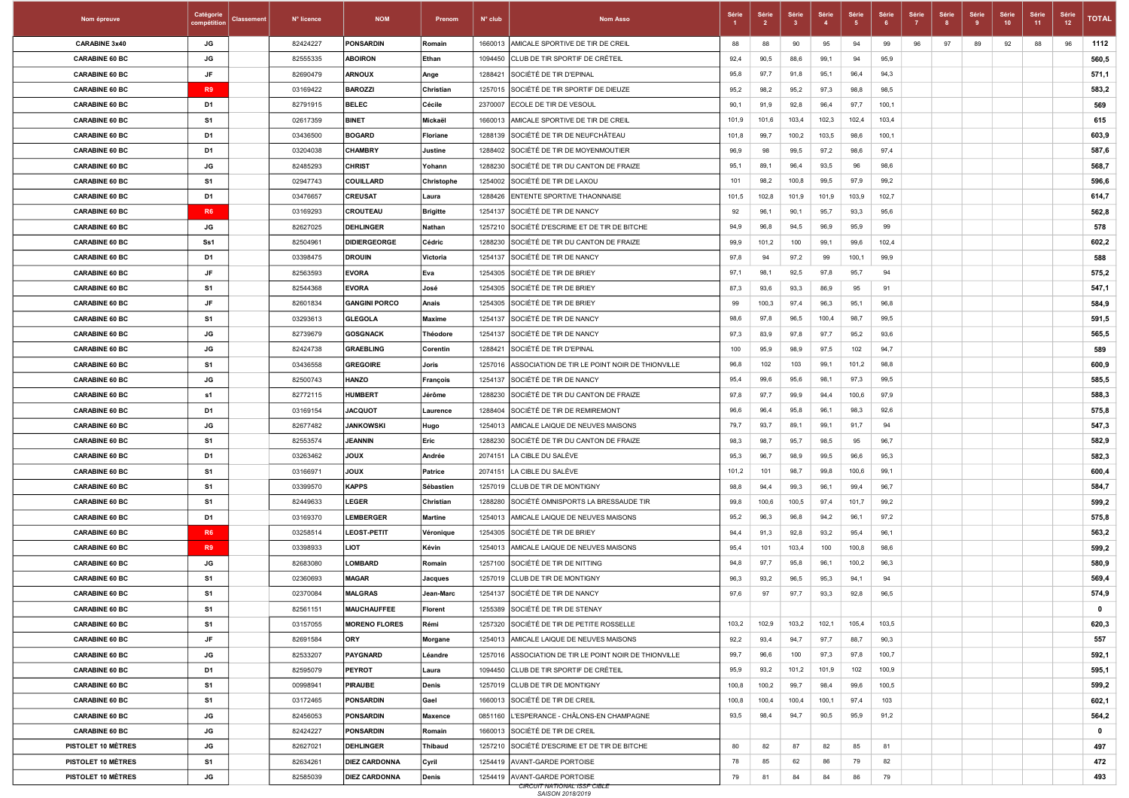| Nom épreuve           | Catégorie<br>compétitio | <b>Classement</b> | N° licence | <b>NOM</b>           | Prenom          | $N^{\circ}$ club | <b>Nom Asso</b>                                        | Séri  | Série<br>$\overline{2}$ | Série | Série  | Série | Série<br>- 6 | Série | Série<br>-8 | Série<br>-9 | Série<br>10 | Série<br>11 | Série<br>12 | <b>TOTAL</b> |
|-----------------------|-------------------------|-------------------|------------|----------------------|-----------------|------------------|--------------------------------------------------------|-------|-------------------------|-------|--------|-------|--------------|-------|-------------|-------------|-------------|-------------|-------------|--------------|
| <b>CARABINE 3x40</b>  | JG                      |                   | 82424227   | <b>PONSARDIN</b>     | Romain          | 1660013          | AMICALE SPORTIVE DE TIR DE CREIL                       | 88    | 88                      | 90    | 95     | 94    | 99           | 96    | 97          | 89          | 92          | 88          | 96          | 1112         |
| <b>CARABINE 60 BC</b> | JG                      |                   | 82555335   | <b>ABOIRON</b>       | Ethan           | 1094450          | CLUB DE TIR SPORTIF DE CRÉTEIL                         | 92,4  | 90,5                    | 88,6  | 99,1   | 94    | 95,9         |       |             |             |             |             |             | 560,5        |
| <b>CARABINE 60 BC</b> | JF                      |                   | 82690479   | <b>ARNOUX</b>        | Ange            | 1288421          | SOCIÉTÉ DE TIR D'EPINAL                                | 95,8  | 97,7                    | 91,8  | 95,1   | 96,4  | 94,3         |       |             |             |             |             |             | 571,1        |
| <b>CARABINE 60 BC</b> | R <sub>9</sub>          |                   | 03169422   | <b>BAROZZI</b>       | Christian       | 1257015          | SOCIÉTÉ DE TIR SPORTIF DE DIEUZE                       | 95,2  | 98,2                    | 95,2  | 97,3   | 98,8  | 98,5         |       |             |             |             |             |             | 583,2        |
| <b>CARABINE 60 BC</b> | D1                      |                   | 82791915   | <b>BELEC</b>         | Cécile          | 2370007          | <b>ECOLE DE TIR DE VESOUL</b>                          | 90,1  | 91,9                    | 92,8  | 96,4   | 97,7  | 100,1        |       |             |             |             |             |             | 569          |
| <b>CARABINE 60 BC</b> | S1                      |                   | 02617359   | <b>BINET</b>         | Mickaël         | 1660013          | AMICALE SPORTIVE DE TIR DE CREIL                       | 101,9 | 101,6                   | 103,4 | 102,3  | 102,4 | 103,4        |       |             |             |             |             |             | 615          |
| <b>CARABINE 60 BC</b> | D1                      |                   | 03436500   | <b>BOGARD</b>        | <b>Floriane</b> | 1288139          | SOCIÉTÉ DE TIR DE NEUFCHÂTEAU                          | 101,8 | 99,7                    | 100,2 | 103,5  | 98,6  | 100,1        |       |             |             |             |             |             | 603,9        |
| <b>CARABINE 60 BC</b> | D1                      |                   | 03204038   | <b>CHAMBRY</b>       | Justine         | 1288402          | SOCIÉTÉ DE TIR DE MOYENMOUTIER                         | 96,9  | 98                      | 99,5  | 97,2   | 98,6  | 97,4         |       |             |             |             |             |             | 587,6        |
| <b>CARABINE 60 BC</b> | JG                      |                   | 82485293   | <b>CHRIST</b>        | Yohann          | 1288230          | SOCIÉTÉ DE TIR DU CANTON DE FRAIZE                     | 95,1  | 89,1                    | 96,4  | 93,5   | 96    | 98,6         |       |             |             |             |             |             | 568,7        |
| <b>CARABINE 60 BC</b> | S1                      |                   | 02947743   | <b>COUILLARD</b>     | Christophe      | 1254002          | SOCIÉTÉ DE TIR DE LAXOU                                | 101   | 98,2                    | 100,8 | 99,5   | 97,9  | 99,2         |       |             |             |             |             |             | 596,6        |
| <b>CARABINE 60 BC</b> | D1                      |                   | 03476657   | <b>CREUSAT</b>       | Laura           | 1288426          | <b>ENTENTE SPORTIVE THAONNAISE</b>                     | 101,5 | 102,8                   | 101,9 | 101,9  | 103,9 | 102,7        |       |             |             |             |             |             | 614,7        |
| <b>CARABINE 60 BC</b> | <b>R6</b>               |                   | 03169293   | CROUTEAU             | <b>Brigitte</b> | 1254137          | SOCIÉTÉ DE TIR DE NANCY                                | 92    | 96,1                    | 90,1  | 95,7   | 93,3  | 95,6         |       |             |             |             |             |             | 562,8        |
| <b>CARABINE 60 BC</b> | JG                      |                   | 82627025   | <b>DEHLINGER</b>     | Nathan          | 1257210          | SOCIÉTÉ D'ESCRIME ET DE TIR DE BITCHE                  | 94,9  | 96,8                    | 94,5  | 96,9   | 95,9  | 99           |       |             |             |             |             |             | 578          |
| <b>CARABINE 60 BC</b> | Ss1                     |                   | 82504961   | <b>DIDIERGEORGE</b>  | Cédric          | 1288230          | SOCIÉTÉ DE TIR DU CANTON DE FRAIZE                     | 99.9  | 101,2                   | 100   | 99,1   | 99,6  | 102,4        |       |             |             |             |             |             | 602,2        |
| <b>CARABINE 60 BC</b> | D1                      |                   | 03398475   | <b>DROUIN</b>        | Victoria        | 1254137          | SOCIÉTÉ DE TIR DE NANCY                                | 97,8  | 94                      | 97,2  | 99     | 100,1 | 99,9         |       |             |             |             |             |             | 588          |
| <b>CARABINE 60 BC</b> | JF                      |                   | 82563593   | <b>EVORA</b>         | Eva             | 1254305          | SOCIÉTÉ DE TIR DE BRIEY                                | 97,1  | 98,1                    | 92,5  | 97,8   | 95,7  | 94           |       |             |             |             |             |             | 575,2        |
| <b>CARABINE 60 BC</b> | S1                      |                   | 82544368   | <b>EVORA</b>         | José            | 1254305          | SOCIÉTÉ DE TIR DE BRIEY                                | 87.3  | 93,6                    | 93,3  | 86,9   | 95    | 91           |       |             |             |             |             |             | 547,1        |
| <b>CARABINE 60 BC</b> | JF                      |                   | 82601834   | <b>GANGINI PORCO</b> | Anais           |                  | 1254305 SOCIÉTÉ DE TIR DE BRIEY                        | 99    | 100,3                   | 97,4  | 96,3   | 95,1  | 96,8         |       |             |             |             |             |             | 584,9        |
| <b>CARABINE 60 BC</b> | S1                      |                   | 03293613   | <b>GLEGOLA</b>       | <b>Maxime</b>   |                  | 1254137 SOCIÉTÉ DE TIR DE NANCY                        | 98,6  | 97,8                    | 96,5  | 100,4  | 98,7  | 99,5         |       |             |             |             |             |             | 591,5        |
| <b>CARABINE 60 BC</b> | JG                      |                   | 82739679   | <b>GOSGNACK</b>      | Théodore        | 1254137          | SOCIÉTÉ DE TIR DE NANCY                                | 97,3  | 83,9                    | 97,8  | 97,7   | 95,2  | 93,6         |       |             |             |             |             |             | 565,5        |
| <b>CARABINE 60 BC</b> | JG                      |                   | 82424738   | <b>GRAEBLING</b>     | Corentin        | 1288421          | SOCIÉTÉ DE TIR D'EPINAL                                | 100   | 95,9                    | 98,9  | 97,5   | 102   | 94,7         |       |             |             |             |             |             | 589          |
| <b>CARABINE 60 BC</b> | S1                      |                   | 03436558   | <b>GREGOIRE</b>      | Joris           |                  | 1257016 ASSOCIATION DE TIR LE POINT NOIR DE THIONVILLE | 96,8  | 102                     | 103   | 99,1   | 101,2 | 98,8         |       |             |             |             |             |             | 600,9        |
| <b>CARABINE 60 BC</b> | JG                      |                   | 82500743   | <b>HANZO</b>         | François        | 1254137          | SOCIÉTÉ DE TIR DE NANCY                                | 95,4  | 99,6                    | 95,6  | 98,1   | 97,3  | 99,5         |       |             |             |             |             |             | 585,5        |
| <b>CARABINE 60 BC</b> | s1                      |                   | 82772115   | <b>HUMBERT</b>       | Jérôme          | 1288230          | SOCIÉTÉ DE TIR DU CANTON DE FRAIZE                     | 97,8  | 97,7                    | 99,9  | 94,4   | 100,6 | 97,9         |       |             |             |             |             |             | 588,3        |
| <b>CARABINE 60 BC</b> | D1                      |                   | 03169154   | <b>JACQUOT</b>       | Laurence        | 1288404          | SOCIÉTÉ DE TIR DE REMIREMONT                           | 96,6  | 96,4                    | 95,8  | 96,1   | 98,3  | 92,6         |       |             |             |             |             |             | 575,8        |
| <b>CARABINE 60 BC</b> | JG                      |                   | 82677482   | <b>JANKOWSKI</b>     | Hugo            | 1254013          | AMICALE LAIQUE DE NEUVES MAISONS                       | 79,7  | 93,7                    | 89,1  | 99,1   | 91,7  | 94           |       |             |             |             |             |             | 547,3        |
| <b>CARABINE 60 BC</b> | S1                      |                   | 82553574   | <b>JEANNIN</b>       | Eric            | 1288230          | SOCIÉTÉ DE TIR DU CANTON DE FRAIZE                     | 98,3  | 98,7                    | 95,7  | 98,5   | 95    | 96,7         |       |             |             |             |             |             | 582,9        |
| <b>CARABINE 60 BC</b> | D1                      |                   | 03263462   | XUOL                 | Andrée          | 2074151          | LA CIBLE DU SALÉVE                                     | 95,3  | 96,7                    | 98,9  | 99,5   | 96,6  | 95,3         |       |             |             |             |             |             | 582,3        |
| <b>CARABINE 60 BC</b> | S1                      |                   | 03166971   | <b>XUOL</b>          | Patrice         | 2074151          | LA CIBLE DU SALÈVE                                     | 101,2 | 101                     | 98,7  | 99,8   | 100,6 | 99,1         |       |             |             |             |             |             | 600,4        |
| <b>CARABINE 60 BC</b> | S1                      |                   | 03399570   | <b>KAPPS</b>         | Sébastien       | 1257019          | CLUB DE TIR DE MONTIGNY                                | 98,8  | 94,4                    | 99,3  | 96,1   | 99,4  | 96,7         |       |             |             |             |             |             | 584,7        |
| <b>CARABINE 60 BC</b> | S <sub>1</sub>          |                   | 82449633   | LEGER                | Christian       | 1288280          | SOCIÉTÉ OMNISPORTS LA BRESSAUDE TIR                    | 99,8  | 100,6                   | 100,5 | 97,4   | 101,7 | 99,2         |       |             |             |             |             |             | 599,2        |
| <b>CARABINE 60 BC</b> | D1                      |                   | 03169370   | <b>LEMBERGER</b>     | <b>Martine</b>  | 1254013          | AMICALE LAIQUE DE NEUVES MAISONS                       | 95,2  | 96,3                    | 96,8  | 94,2   | 96,1  | 97,2         |       |             |             |             |             |             | 575,8        |
| <b>CARABINE 60 BC</b> | <b>R6</b>               |                   | 03258514   | <b>LEOST-PETIT</b>   | Véronique       | 1254305          | SOCIÉTÉ DE TIR DE BRIEY                                | 94,4  | 91,3                    | 92,8  | 93,2   | 95,4  | 96,1         |       |             |             |             |             |             | 563,2        |
| <b>CARABINE 60 BC</b> | R <sub>9</sub>          |                   | 03398933   | LIOT                 | Kévin           | 1254013          | AMICALE LAIQUE DE NEUVES MAISONS                       | 95.4  | 101                     | 103,4 | 100    | 100,8 | 98,6         |       |             |             |             |             |             | 599,2        |
| <b>CARABINE 60 BC</b> | JG                      |                   | 82683080   | <b>LOMBARD</b>       | Romain          | 1257100          | SOCIÉTÉ DE TIR DE NITTING                              | 94,8  | 97,7                    | 95,8  | 96,1   | 100,2 | 96,3         |       |             |             |             |             |             | 580,9        |
| <b>CARABINE 60 BC</b> | S1                      |                   | 02360693   | <b>MAGAR</b>         | <b>Jacques</b>  | 1257019          | CLUB DE TIR DE MONTIGNY                                | 96,3  | 93,2                    | 96,5  | 95,3   | 94.1  | 94           |       |             |             |             |             |             | 569,4        |
| <b>CARABINE 60 BC</b> | S <sub>1</sub>          |                   | 02370084   | <b>MALGRAS</b>       | Jean-Marc       | 1254137          | SOCIÉTÉ DE TIR DE NANCY                                | 97,6  | 97                      | 97,7  | 93,3   | 92,8  | 96,5         |       |             |             |             |             |             | 574,9        |
| <b>CARABINE 60 BC</b> | -S1                     |                   | 82561151   | <b>MAUCHAUFFEE</b>   | <b> Florent</b> |                  | 1255389 SOCIÉTÉ DE TIR DE STENAY                       |       |                         |       |        |       |              |       |             |             |             |             |             | $\mathbf{0}$ |
| <b>CARABINE 60 BC</b> | S <sub>1</sub>          |                   | 03157055   | <b>MORENO FLORES</b> | Rémi            | 1257320          | SOCIÉTÉ DE TIR DE PETITE ROSSELLE                      | 103,2 | 102,9                   | 103,2 | 102, 1 | 105,4 | 103,5        |       |             |             |             |             |             | 620,3        |
| <b>CARABINE 60 BC</b> | JF                      |                   | 82691584   | <b>ORY</b>           | Morgane         | 1254013          | AMICALE LAIQUE DE NEUVES MAISONS                       | 92,2  | 93,4                    | 94,7  | 97,7   | 88,7  | 90,3         |       |             |             |             |             |             | 557          |
| <b>CARABINE 60 BC</b> | JG                      |                   | 82533207   | PAYGNARD             | Léandre         | 1257016          | ASSOCIATION DE TIR LE POINT NOIR DE THIONVILLE         | 99,7  | 96,6                    | 100   | 97,3   | 97,8  | 100,7        |       |             |             |             |             |             | 592,1        |
| <b>CARABINE 60 BC</b> | D1                      |                   | 82595079   | <b>PEYROT</b>        | Laura           |                  | 1094450 CLUB DE TIR SPORTIF DE CRÉTEIL                 | 95,9  | 93,2                    | 101,2 | 101,9  | 102   | 100,9        |       |             |             |             |             |             | 595,1        |
| <b>CARABINE 60 BC</b> | S1                      |                   | 00998941   | PIRAUBE              | Denis           |                  | 1257019 CLUB DE TIR DE MONTIGNY                        | 100,8 | 100,2                   | 99,7  | 98,4   | 99,6  | 100,5        |       |             |             |             |             |             | 599,2        |
| <b>CARABINE 60 BC</b> | S1                      |                   | 03172465   | <b>PONSARDIN</b>     | Gael            | 1660013          | SOCIÉTÉ DE TIR DE CREIL                                | 100,8 | 100,4                   | 100,4 | 100, 1 | 97,4  | 103          |       |             |             |             |             |             | 602,1        |
| <b>CARABINE 60 BC</b> | JG                      |                   | 82456053   | <b>PONSARDIN</b>     | <b>Maxence</b>  | 0851160          | L'ESPERANCE - CHÂLONS-EN CHAMPAGNE                     | 93,5  | 98,4                    | 94,7  | 90,5   | 95,9  | 91,2         |       |             |             |             |             |             | 564,2        |
| <b>CARABINE 60 BC</b> | JG                      |                   | 82424227   | <b>PONSARDIN</b>     | Romain          | 1660013          | SOCIÉTÉ DE TIR DE CREIL                                |       |                         |       |        |       |              |       |             |             |             |             |             | $\mathbf 0$  |
| PISTOLET 10 MÈTRES    | JG                      |                   | 82627021   | <b>DEHLINGER</b>     | <b>Thibaud</b>  | 1257210          | SOCIÉTÉ D'ESCRIME ET DE TIR DE BITCHE                  | 80    | 82                      | 87    | 82     | 85    | 81           |       |             |             |             |             |             | 497          |
| PISTOLET 10 MÈTRES    | S1                      |                   | 82634261   | <b>DIEZ CARDONNA</b> | Cyril           | 1254419          | AVANT-GARDE PORTOISE                                   | 78    | 85                      | 62    | 86     | 79    | 82           |       |             |             |             |             |             | 472          |
| PISTOLET 10 MÈTRES    | JG                      |                   | 82585039   | <b>DIEZ CARDONNA</b> | Denis           |                  | 1254419 AVANT-GARDE PORTOISE                           | 79    | 81                      | 84    | 84     | 86    | 79           |       |             |             |             |             |             | 493          |
|                       |                         |                   |            |                      |                 |                  | <b>CIRCUIT NATIONAL ISSF CIBLE</b><br>SAISON 2018/2019 |       |                         |       |        |       |              |       |             |             |             |             |             |              |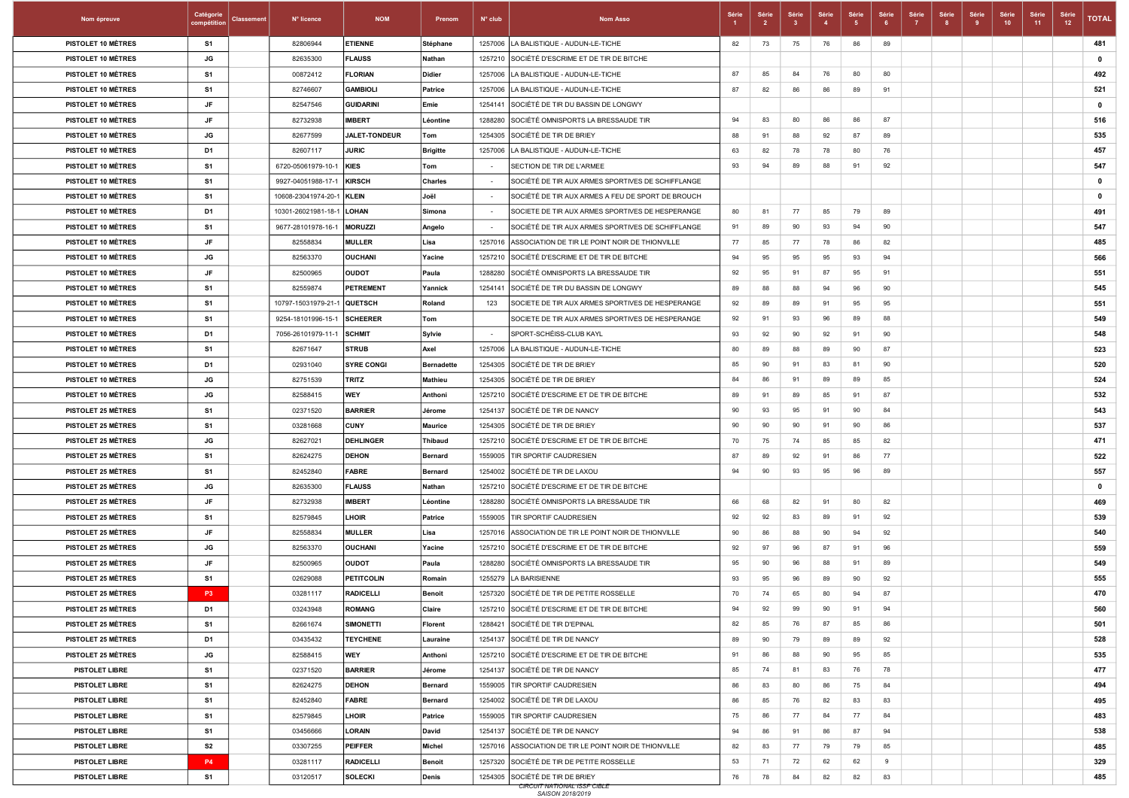| Nom épreuve               | Catégorie<br>compétition | <b>Classement</b> | N° licence          | <b>NOM</b>        | Prenom            | $N^{\circ}$ club         | <b>Nom Asso</b>                                        | Série | Série | Série | Série<br>$\overline{4}$ | Série<br>- 5 | Série<br>- 6 | Série<br>$\overline{7}$ | Série<br>8 | Série<br>-9 | Série<br>10 | Série<br>11 | Série<br>12 | <b>TOTAL</b> |
|---------------------------|--------------------------|-------------------|---------------------|-------------------|-------------------|--------------------------|--------------------------------------------------------|-------|-------|-------|-------------------------|--------------|--------------|-------------------------|------------|-------------|-------------|-------------|-------------|--------------|
| PISTOLET 10 MÈTRES        | <b>S1</b>                |                   | 82806944            | <b>ETIENNE</b>    | Stéphane          |                          | 1257006   LA BALISTIQUE - AUDUN-LE-TICHE               | 82    | 73    | 75    | 76                      | 86           | 89           |                         |            |             |             |             |             | 481          |
| PISTOLET 10 MÈTRES        | JG                       |                   | 82635300            | <b>FLAUSS</b>     | Nathan            |                          | 1257210 SOCIÉTÉ D'ESCRIME ET DE TIR DE BITCHE          |       |       |       |                         |              |              |                         |            |             |             |             |             | $\mathbf{0}$ |
| PISTOLET 10 MÈTRES        | S1                       |                   | 00872412            | <b>FLORIAN</b>    | Didier            |                          | 1257006 LA BALISTIQUE - AUDUN-LE-TICHE                 | 87    | 85    | 84    | 76                      | 80           | 80           |                         |            |             |             |             |             | 492          |
| PISTOLET 10 MÈTRES        | S <sub>1</sub>           |                   | 82746607            | <b>GAMBIOLI</b>   | Patrice           |                          | 1257006 LA BALISTIQUE - AUDUN-LE-TICHE                 | 87    | 82    | 86    | 86                      | 89           | 91           |                         |            |             |             |             |             | 521          |
| PISTOLET 10 MÉTRES        | JF                       |                   | 82547546            | GUIDARINI         | Emie              | 1254141                  | SOCIÉTÉ DE TIR DU BASSIN DE LONGWY                     |       |       |       |                         |              |              |                         |            |             |             |             |             | $\mathbf 0$  |
| PISTOLET 10 MÈTRES        | JF                       |                   | 82732938            | <b>IMBERT</b>     | Léontine          |                          | 1288280 SOCIÉTÉ OMNISPORTS LA BRESSAUDE TIR            | 94    | 83    | 80    | 86                      | 86           | 87           |                         |            |             |             |             |             | 516          |
| PISTOLET 10 MÈTRES        | JG                       |                   | 82677599            | JALET-TONDEUR     | Tom               |                          | 1254305 SOCIÉTÉ DE TIR DE BRIEY                        | 88    | 91    | 88    | 92                      | 87           | 89           |                         |            |             |             |             |             | 535          |
| PISTOLET 10 MÈTRES        | D <sub>1</sub>           |                   | 82607117            | <b>JURIC</b>      | <b>Brigitte</b>   |                          | 1257006 LA BALISTIQUE - AUDUN-LE-TICHE                 | 63    | 82    | 78    | 78                      | 80           | 76           |                         |            |             |             |             |             | 457          |
| PISTOLET 10 MÈTRES        | S1                       |                   | 6720-05061979-10-1  | KIES              | Tom               | $\sim$                   | SECTION DE TIR DE L'ARMEE                              | 93    | 94    | 89    | 88                      | 91           | 92           |                         |            |             |             |             |             | 547          |
| PISTOLET 10 MÉTRES        | S1                       |                   | 9927-04051988-17-1  | KIRSCH            | <b>Charles</b>    | $\overline{\phantom{a}}$ | SOCIÈTÉ DE TIR AUX ARMES SPORTIVES DE SCHIFFLANGE      |       |       |       |                         |              |              |                         |            |             |             |             |             | $\mathbf 0$  |
| <b>PISTOLET 10 MÈTRES</b> | S1                       |                   | 10608-23041974-20-1 | KLEIN             | Joël              | $\sim$                   | SOCIÉTÉ DE TIR AUX ARMES A FEU DE SPORT DE BROUCH      |       |       |       |                         |              |              |                         |            |             |             |             |             | $\mathbf 0$  |
| PISTOLET 10 MÈTRES        | D <sub>1</sub>           |                   | 10301-26021981-18-1 | <b>LOHAN</b>      | Simona            | $\sim$                   | SOCIETE DE TIR AUX ARMES SPORTIVES DE HESPERANGE       | 80    | 81    | 77    | 85                      | 79           | 89           |                         |            |             |             |             |             | 491          |
| PISTOLET 10 MÈTRES        | S1                       |                   | 9677-28101978-16-1  | <b>MORUZZI</b>    | Angelo            | $\sim$                   | SOCIÉTÉ DE TIR AUX ARMES SPORTIVES DE SCHIFFLANGE      | 91    | 89    | 90    | 93                      | 94           | 90           |                         |            |             |             |             |             | 547          |
| PISTOLET 10 MÈTRES        | JF                       |                   | 82558834            | <b>MULLER</b>     | Lisa              |                          | 1257016 ASSOCIATION DE TIR LE POINT NOIR DE THIONVILLE | 77    | 85    | 77    | 78                      | 86           | 82           |                         |            |             |             |             |             | 485          |
| PISTOLET 10 MÉTRES        | JG                       |                   | 82563370            | <b>OUCHANI</b>    | Yacine            |                          | 1257210 SOCIÉTÉ D'ESCRIME ET DE TIR DE BITCHE          | 94    | 95    | 95    | 95                      | 93           | 94           |                         |            |             |             |             |             | 566          |
| PISTOLET 10 MÈTRES        | JF                       |                   | 82500965            | <b>OUDOT</b>      | Paula             |                          | 1288280 SOCIÉTÉ OMNISPORTS LA BRESSAUDE TIR            | 92    | 95    | 91    | 87                      | 95           | 91           |                         |            |             |             |             |             | 551          |
| PISTOLET 10 MÈTRES        | S1                       |                   | 82559874            | PETREMENT         | Yannick           |                          | 1254141 SOCIÉTÉ DE TIR DU BASSIN DE LONGWY             | 89    | 88    | 88    | 94                      | 96           | 90           |                         |            |             |             |             |             | 545          |
| PISTOLET 10 MÈTRES        | S1                       |                   | 10797-15031979-21-1 | <b>QUETSCH</b>    | Roland            | 123                      | SOCIETE DE TIR AUX ARMES SPORTIVES DE HESPERANGE       | 92    | 89    | 89    | 91                      | 95           | 95           |                         |            |             |             |             |             | 551          |
| PISTOLET 10 MÈTRES        | S1                       |                   | 9254-18101996-15-1  | <b>SCHEERER</b>   | Tom               |                          | SOCIETE DE TIR AUX ARMES SPORTIVES DE HESPERANGE       | 92    | 91    | 93    | 96                      | 89           | 88           |                         |            |             |             |             |             | 549          |
| PISTOLET 10 MÉTRES        | D <sub>1</sub>           |                   | 7056-26101979-11-1  | <b>SCHMIT</b>     | Sylvie            | $\sim$                   | SPORT-SCHEISS-CLUB KAYL                                | 93    | 92    | 90    | 92                      | 91           | 90           |                         |            |             |             |             |             | 548          |
| PISTOLET 10 MÈTRES        | S1                       |                   | 82671647            | <b>STRUB</b>      | Axel              |                          | 1257006   LA BALISTIQUE - AUDUN-LE-TICHE               | 80    | 89    | 88    | 89                      | 90           | 87           |                         |            |             |             |             |             | 523          |
| PISTOLET 10 MÈTRES        | D <sub>1</sub>           |                   | 02931040            | <b>SYRE CONGI</b> | <b>Bernadette</b> |                          | 1254305 SOCIÉTÉ DE TIR DE BRIEY                        | 85    | 90    | 91    | 83                      | 81           | 90           |                         |            |             |             |             |             | 520          |
| PISTOLET 10 MÈTRES        | JG                       |                   | 82751539            | <b>TRITZ</b>      | Mathieu           |                          | 1254305 SOCIÉTÉ DE TIR DE BRIEY                        | 84    | 86    | 91    | 89                      | 89           | 85           |                         |            |             |             |             |             | 524          |
| PISTOLET 10 MÈTRES        | JG                       |                   | 82588415            | <b>WEY</b>        | Anthoni           |                          | 1257210 SOCIÉTÉ D'ESCRIME ET DE TIR DE BITCHE          | 89    | 91    | 89    | 85                      | 91           | 87           |                         |            |             |             |             |             | 532          |
| <b>PISTOLET 25 MÉTRES</b> | S1                       |                   | 02371520            | <b>BARRIER</b>    | Jérome            |                          | 1254137 SOCIÉTÉ DE TIR DE NANCY                        | 90    | 93    | 95    | 91                      | 90           | 84           |                         |            |             |             |             |             | 543          |
| <b>PISTOLET 25 MÈTRES</b> | S1                       |                   | 03281668            | <b>CUNY</b>       | <b>Maurice</b>    |                          | 1254305 SOCIÉTÉ DE TIR DE BRIEY                        | 90    | 90    | 90    | 91                      | 90           | 86           |                         |            |             |             |             |             | 537          |
| <b>PISTOLET 25 MÈTRES</b> | JG                       |                   | 82627021            | <b>DEHLINGER</b>  | <b>Thibaud</b>    |                          | 1257210 SOCIÉTÉ D'ESCRIME ET DE TIR DE BITCHE          | 70    | 75    | 74    | 85                      | 85           | 82           |                         |            |             |             |             |             | 471          |
| <b>PISTOLET 25 MÈTRES</b> | S1                       |                   | 82624275            | <b>DEHON</b>      | Bernard           |                          | 1559005 TIR SPORTIF CAUDRESIEN                         | 87    | 89    | 92    | 91                      | 86           | 77           |                         |            |             |             |             |             | 522          |
| <b>PISTOLET 25 MÈTRES</b> | S1                       |                   | 82452840            | <b>FABRE</b>      | <b>Bernard</b>    |                          | 1254002 SOCIÉTÉ DE TIR DE LAXOU                        | 94    | 90    | 93    | 95                      | 96           | 89           |                         |            |             |             |             |             | 557          |
| <b>PISTOLET 25 MÉTRES</b> | JG                       |                   | 82635300            | <b>FLAUSS</b>     | Nathan            |                          | 1257210 SOCIÉTÉ D'ESCRIME ET DE TIR DE BITCHE          |       |       |       |                         |              |              |                         |            |             |             |             |             | $\mathbf 0$  |
| <b>PISTOLET 25 MÈTRES</b> | JF                       |                   | 82732938            | <b>IMBERT</b>     | Léontine          |                          | 1288280 SOCIÉTÉ OMNISPORTS LA BRESSAUDE TIR            | 66    | 68    | 82    | 91                      | 80           | 82           |                         |            |             |             |             |             | 469          |
| <b>PISTOLET 25 MÈTRES</b> | S1                       |                   | 82579845            | LHOIR             | Patrice           |                          | 1559005 TIR SPORTIF CAUDRESIEN                         | 92    | 92    | 83    | 89                      | 91           | 92           |                         |            |             |             |             |             | 539          |
| <b>PISTOLET 25 MÈTRES</b> | <b>JF</b>                |                   | 82558834            | <b>MULLER</b>     | Lisa              |                          | 1257016 ASSOCIATION DE TIR LE POINT NOIR DE THIONVILLE | 90    | 86    | 88    | 90                      | 94           | 92           |                         |            |             |             |             |             | 540          |
| <b>PISTOLET 25 MÈTRES</b> | JG                       |                   | 82563370            | <b>OUCHANI</b>    | Yacine            |                          | 1257210 SOCIÉTÉ D'ESCRIME ET DE TIR DE BITCHE          | 92    | 97    | 96    | 87                      | 91           | 96           |                         |            |             |             |             |             | 559          |
| <b>PISTOLET 25 MÉTRES</b> | JF                       |                   | 82500965            | <b>OUDOT</b>      | Paula             |                          | 1288280 SOCIÉTÉ OMNISPORTS LA BRESSAUDE TIR            | 95    | 90    | 96    | 88                      | 91           | 89           |                         |            |             |             |             |             | 549          |
| <b>PISTOLET 25 MÉTRES</b> | S <sub>1</sub>           |                   | 02629088            | <b>PETITCOLIN</b> | Romain            |                          | 1255279  LA BARISIENNE                                 | 93    | 95    | 96    | 89                      | 90           | 92           |                         |            |             |             |             |             | 555          |
| PISTOLET 25 MÈTRES        | P <sub>3</sub>           |                   | 03281117            | <b>RADICELLI</b>  | <b>Benoit</b>     |                          | 1257320 SOCIÉTÉ DE TIR DE PETITE ROSSELLE              | 70    | 74    | 65    | 80                      | 94           | 87           |                         |            |             |             |             |             | 470          |
| <b>PISTOLET 25 MÉTRES</b> | D1                       |                   | 03243948            | <b>ROMANG</b>     | Claire            |                          | 1257210 SOCIÉTÉ D'ESCRIME ET DE TIR DE BITCHE          | 94    | 92    | -99   | 90                      | -91          | 94           |                         |            |             |             |             |             | 560          |
| <b>PISTOLET 25 MÈTRES</b> | S <sub>1</sub>           |                   | 82661674            | <b>SIMONETTI</b>  | Florent           |                          | 1288421 SOCIÉTÉ DE TIR D'EPINAL                        | 82    | 85    | 76    | 87                      | 85           | 86           |                         |            |             |             |             |             | 501          |
| <b>PISTOLET 25 MÈTRES</b> | D <sub>1</sub>           |                   | 03435432            | <b>TEYCHENE</b>   | Lauraine          |                          | 1254137 SOCIÉTÉ DE TIR DE NANCY                        | 89    | 90    | 79    | 89                      | 89           | 92           |                         |            |             |             |             |             | 528          |
| <b>PISTOLET 25 MÈTRES</b> | JG                       |                   | 82588415            | <b>WEY</b>        | Anthoni           |                          | 1257210 SOCIÉTÉ D'ESCRIME ET DE TIR DE BITCHE          | 91    | 86    | 88    | 90                      | 95           | 85           |                         |            |             |             |             |             | 535          |
| <b>PISTOLET LIBRE</b>     | S1                       |                   | 02371520            | <b>BARRIER</b>    | Jérome            |                          | 1254137 SOCIÉTÉ DE TIR DE NANCY                        | 85    | 74    | 81    | 83                      | 76           | 78           |                         |            |             |             |             |             | 477          |
| PISTOLET LIBRE            | S1                       |                   | 82624275            | <b>DEHON</b>      | Bernard           |                          | 1559005 TIR SPORTIF CAUDRESIEN                         | 86    | 83    | 80    | 86                      | 75           | 84           |                         |            |             |             |             |             | 494          |
| PISTOLET LIBRE            | S1                       |                   | 82452840            | <b>FABRE</b>      | <b>Bernard</b>    |                          | 1254002 SOCIÉTÉ DE TIR DE LAXOU                        | 86    | 85    | 76    | 82                      | 83           | 83           |                         |            |             |             |             |             | 495          |
| PISTOLET LIBRE            | S1                       |                   | 82579845            | LHOIR             | Patrice           |                          | 1559005 TIR SPORTIF CAUDRESIEN                         | 75    | 86    | 77    | 84                      | 77           | 84           |                         |            |             |             |             |             | 483          |
| PISTOLET LIBRE            | S1                       |                   | 03456666            | LORAIN            | David             |                          | 1254137 SOCIÉTÉ DE TIR DE NANCY                        | 94    | 86    | 91    | 86                      | 87           | 94           |                         |            |             |             |             |             | 538          |
| PISTOLET LIBRE            | S <sub>2</sub>           |                   | 03307255            | <b>PEIFFER</b>    | Michel            |                          | 1257016 ASSOCIATION DE TIR LE POINT NOIR DE THIONVILLE | 82    | 83    | 77    | 79                      | 79           | 85           |                         |            |             |             |             |             | 485          |
| PISTOLET LIBRE            | <b>P4</b>                |                   | 03281117            | <b>RADICELLI</b>  | <b>Benoit</b>     |                          | 1257320 SOCIÉTÉ DE TIR DE PETITE ROSSELLE              | 53    | 71    | 72    | 62                      | 62           | 9            |                         |            |             |             |             |             | 329          |
| PISTOLET LIBRE            | S1                       |                   | 03120517            | SOLECKI           | Denis             |                          | 1254305 SOCIÉTÉ DE TIR DE BRIEY                        | 76    | 78    | 84    | 82                      | 82           | 83           |                         |            |             |             |             |             | 485          |
|                           |                          |                   |                     |                   |                   |                          | <b>CIRCUIT NATIONAL ISSF CIBLE</b><br>SAISON 2018/2019 |       |       |       |                         |              |              |                         |            |             |             |             |             |              |